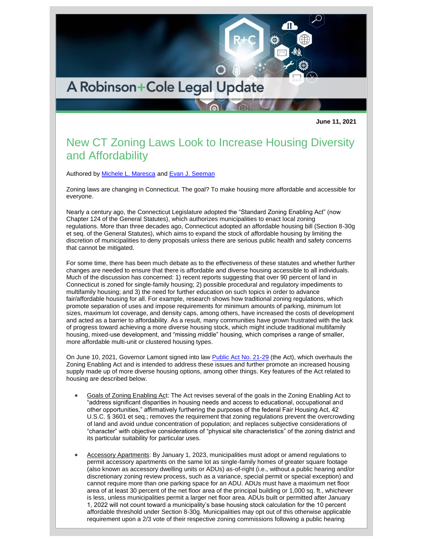

**June 11, 2021**

## New CT Zoning Laws Look to Increase Housing Diversity and Affordability

Authored by [Michele L. Maresca](http://www.rc.com/people/MicheleLMaresca.cfm) and [Evan J. Seeman](http://www.rc.com/people/EvanJSeeman.cfm)

Zoning laws are changing in Connecticut. The goal? To make housing more affordable and accessible for everyone.

Nearly a century ago, the Connecticut Legislature adopted the "Standard Zoning Enabling Act" (now Chapter 124 of the General Statutes), which authorizes municipalities to enact local zoning regulations. More than three decades ago, Connecticut adopted an affordable housing bill (Section 8-30g et seq. of the General Statutes), which aims to expand the stock of affordable housing by limiting the discretion of municipalities to deny proposals unless there are serious public health and safety concerns that cannot be mitigated.

For some time, there has been much debate as to the effectiveness of these statutes and whether further changes are needed to ensure that there is affordable and diverse housing accessible to all individuals. Much of the discussion has concerned: 1) recent reports suggesting that over 90 percent of land in Connecticut is zoned for single-family housing; 2) possible procedural and regulatory impediments to multifamily housing; and 3) the need for further education on such topics in order to advance fair/affordable housing for all. For example, research shows how traditional zoning regulations, which promote separation of uses and impose requirements for minimum amounts of parking, minimum lot sizes, maximum lot coverage, and density caps, among others, have increased the costs of development and acted as a barrier to affordability. As a result, many communities have grown frustrated with the lack of progress toward achieving a more diverse housing stock, which might include traditional multifamily housing, mixed-use development, and "missing middle" housing, which comprises a range of smaller, more affordable multi-unit or clustered housing types.

On June 10, 2021, Governor Lamont signed into law [Public Act No. 21-29](https://www.cga.ct.gov/2021/ACT/PA/PDF/2021PA-00029-R00HB-06107-PA.PDF) (the Act), which overhauls the Zoning Enabling Act and is intended to address these issues and further promote an increased housing supply made up of more diverse housing options, among other things. Key features of the Act related to housing are described below.

- Goals of Zoning Enabling Act: The Act revises several of the goals in the Zoning Enabling Act to "address significant disparities in housing needs and access to educational, occupational and other opportunities," affirmatively furthering the purposes of the federal Fair Housing Act, 42 U.S.C. § 3601 et seq.; removes the requirement that zoning regulations prevent the overcrowding of land and avoid undue concentration of population; and replaces subjective considerations of "character" with objective considerations of "physical site characteristics" of the zoning district and its particular suitability for particular uses.
- Accessory Apartments: By January 1, 2023, municipalities must adopt or amend regulations to permit accessory apartments on the same lot as single-family homes of greater square footage (also known as accessory dwelling units or ADUs) as-of-right (i.e., without a public hearing and/or discretionary zoning review process, such as a variance, special permit or special exception) and cannot require more than one parking space for an ADU. ADUs must have a maximum net floor area of at least 30 percent of the net floor area of the principal building or 1,000 sq. ft., whichever is less, unless municipalities permit a larger net floor area. ADUs built or permitted after January 1, 2022 will not count toward a municipality's base housing stock calculation for the 10 percent affordable threshold under Section 8-30g. Municipalities may opt out of this otherwise applicable requirement upon a 2/3 vote of their respective zoning commissions following a public hearing